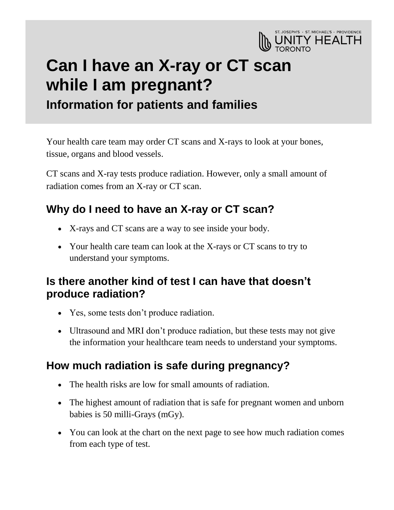

# **Can I have an X-ray or CT scan while I am pregnant? Information for patients and families**

Your health care team may order CT scans and X-rays to look at your bones, tissue, organs and blood vessels.

CT scans and X-ray tests produce radiation. However, only a small amount of radiation comes from an X-ray or CT scan.

# **Why do I need to have an X-ray or CT scan?**

- X-rays and CT scans are a way to see inside your body.
- Your health care team can look at the X-rays or CT scans to try to understand your symptoms.

#### **Is there another kind of test I can have that doesn't produce radiation?**

- Yes, some tests don't produce radiation.
- Ultrasound and MRI don't produce radiation, but these tests may not give the information your healthcare team needs to understand your symptoms.

## **How much radiation is safe during pregnancy?**

- The health risks are low for small amounts of radiation.
- The highest amount of radiation that is safe for pregnant women and unborn babies is 50 milli-Grays (mGy).
- You can look at the chart on the next page to see how much radiation comes from each type of test.